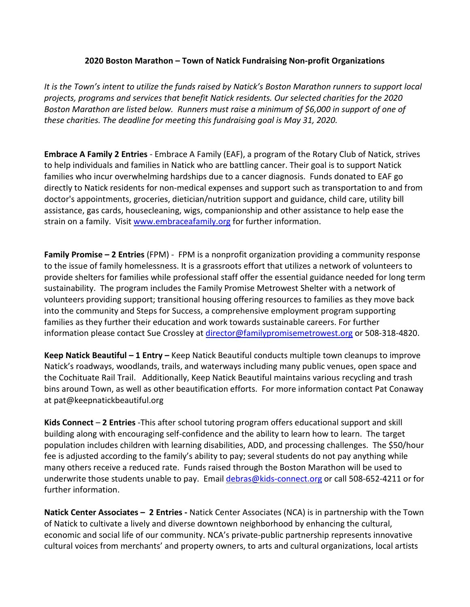## **2020 Boston Marathon – Town of Natick Fundraising Non-profit Organizations**

*It is the Town's intent to utilize the funds raised by Natick's Boston Marathon runners to support local projects, programs and services that benefit Natick residents. Our selected charities for the 2020 Boston Marathon are listed below. Runners must raise a minimum of \$6,000 in support of one of these charities. The deadline for meeting this fundraising goal is May 31, 2020.* 

**Embrace A Family 2 Entries** - Embrace A Family (EAF), a program of the Rotary Club of Natick, strives to help individuals and families in Natick who are battling cancer. Their goal is to support Natick families who incur overwhelming hardships due to a cancer diagnosis. Funds donated to EAF go directly to Natick residents for non-medical expenses and support such as transportation to and from doctor's appointments, groceries, dietician/nutrition support and guidance, child care, utility bill assistance, gas cards, housecleaning, wigs, companionship and other assistance to help ease the strain on a family. Visit [www.embraceafamily.org](http://www.embraceafamily.org/) for further information.

**Family Promise – 2 Entries** (FPM) - FPM is a nonprofit organization providing a community response to the issue of family homelessness. It is a grassroots effort that utilizes a network of volunteers to provide shelters for families while professional staff offer the essential guidance needed for long term sustainability. The program includes the Family Promise Metrowest Shelter with a network of volunteers providing support; transitional housing offering resources to families as they move back into the community and Steps for Success, a comprehensive employment program supporting families as they further their education and work towards sustainable careers. For further information please contact Sue Crossley at [director@familypromisemetrowest.org](mailto:director@familypromisemetrowest.org) or 508-318-4820.

**Keep Natick Beautiful – 1 Entry –** Keep Natick Beautiful conducts multiple town cleanups to improve Natick's roadways, woodlands, trails, and waterways including many public venues, open space and the Cochituate Rail Trail. Additionally, Keep Natick Beautiful maintains various recycling and trash bins around Town, as well as other beautification efforts. For more information contact Pat Conaway at pat@keepnatickbeautiful.org

**Kids Connect** – **2 Entries** -This after school tutoring program offers educational support and skill building along with encouraging self-confidence and the ability to learn how to learn. The target population includes children with learning disabilities, ADD, and processing challenges. The \$50/hour fee is adjusted according to the family's ability to pay; several students do not pay anything while many others receive a reduced rate. Funds raised through the Boston Marathon will be used to underwrite those students unable to pay. Email [debras@kids-connect.org](mailto:debras@kids-connect.org) or call 508-652-4211 or for further information.

**Natick Center Associates – 2 Entries -** Natick Center Associates (NCA) is in partnership with the Town of Natick to cultivate a lively and diverse downtown neighborhood by enhancing the cultural, economic and social life of our community. NCA's private-public partnership represents innovative cultural voices from merchants' and property owners, to arts and cultural organizations, local artists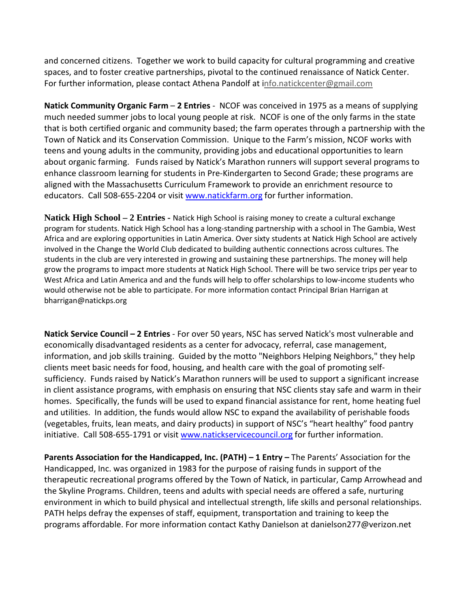and concerned citizens. Together we work to build capacity for cultural programming and creative spaces, and to foster creative partnerships, pivotal to the continued renaissance of Natick Center. For further information, please contact Athena Pandolf at info.natickcenter@gmail.com

**Natick Community Organic Farm** – **2 Entries** - NCOF was conceived in 1975 as a means of supplying much needed summer jobs to local young people at risk. NCOF is one of the only farms in the state that is both certified organic and community based; the farm operates through a partnership with the Town of Natick and its Conservation Commission. Unique to the Farm's mission, NCOF works with teens and young adults in the community, providing jobs and educational opportunities to learn about organic farming. Funds raised by Natick's Marathon runners will support several programs to enhance classroom learning for students in Pre-Kindergarten to Second Grade; these programs are aligned with the Massachusetts Curriculum Framework to provide an enrichment resource to educators. Call 508-655-2204 or visit [www.natickfarm.org](http://www.natickfarm.org/) for further information.

**Natick High School – 2 Entries -** Natick High School is raising money to create a cultural exchange program for students. Natick High School has a long-standing partnership with a school in The Gambia, West Africa and are exploring opportunities in Latin America. Over sixty students at Natick High School are actively involved in the Change the World Club dedicated to building authentic connections across cultures. The students in the club are very interested in growing and sustaining these partnerships. The money will help grow the programs to impact more students at Natick High School. There will be two service trips per year to West Africa and Latin America and and the funds will help to offer scholarships to low-income students who would otherwise not be able to participate. For more information contact Principal Brian Harrigan at bharrigan@natickps.org

**Natick Service Council – 2 Entries** - For over 50 years, NSC has served Natick's most vulnerable and economically disadvantaged residents as a center for advocacy, referral, case management, information, and job skills training. Guided by the motto "Neighbors Helping Neighbors," they help clients meet basic needs for food, housing, and health care with the goal of promoting selfsufficiency. Funds raised by Natick's Marathon runners will be used to support a significant increase in client assistance programs, with emphasis on ensuring that NSC clients stay safe and warm in their homes. Specifically, the funds will be used to expand financial assistance for rent, home heating fuel and utilities. In addition, the funds would allow NSC to expand the availability of perishable foods (vegetables, fruits, lean meats, and dairy products) in support of NSC's "heart healthy" food pantry initiative. Call 508-655-1791 or visit [www.natickservicecouncil.org](http://www.natickservicecouncil.org/) for further information.

**Parents Association for the Handicapped, Inc. (PATH) – 1 Entry –** The Parents' Association for the Handicapped, Inc. was organized in 1983 for the purpose of raising funds in support of the therapeutic recreational programs offered by the Town of Natick, in particular, Camp Arrowhead and the Skyline Programs. Children, teens and adults with special needs are offered a safe, nurturing environment in which to build physical and intellectual strength, life skills and personal relationships. PATH helps defray the expenses of staff, equipment, transportation and training to keep the programs affordable. For more information contact Kathy Danielson at danielson277@verizon.net